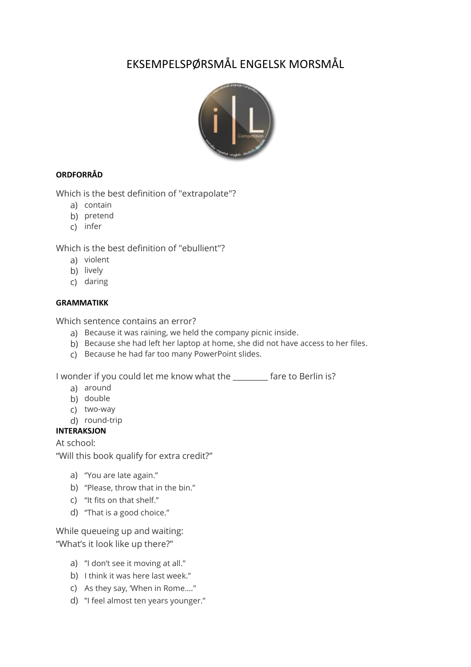# EKSEMPELSPØRSMÅL ENGELSK MORSMÅL



## **ORDFORRÅD**

Which is the best definition of "extrapolate"?

- a) contain
- b) pretend
- c) infer

Which is the best definition of "ebullient"?

- a) violent
- b) lively
- c) daring

#### **GRAMMATIKK**

Which sentence contains an error?

- a) Because it was raining, we held the company picnic inside.
- b) Because she had left her laptop at home, she did not have access to her files.
- c) Because he had far too many PowerPoint slides.

I wonder if you could let me know what the \_\_\_\_\_\_\_\_\_ fare to Berlin is?

- a) around
- b) double
- c) two-way
- d) round-trip

## **INTERAKSJON**

At school:

"Will this book qualify for extra credit?"

- a) "You are late again."
- b) "Please, throw that in the bin."
- c) "It fits on that shelf."
- d) "That is a good choice."

While queueing up and waiting: "What's it look like up there?"

- a) "I don't see it moving at all."
- b) I think it was here last week."
- c) As they say, 'When in Rome…."
- d) "I feel almost ten years younger."